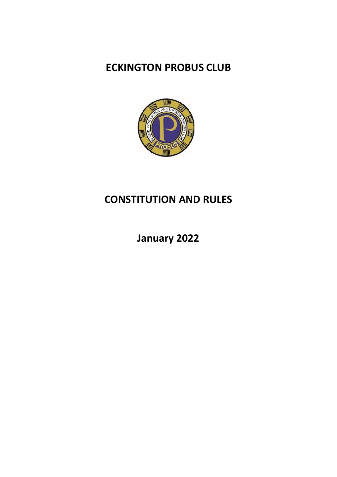# **ECKINGTON PROBUS CLUB**



# **CONSTITUTION AND RULES**

**January 2022**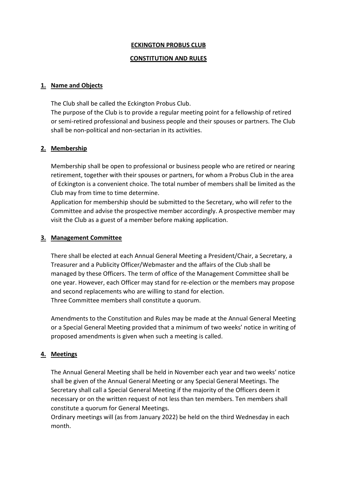### **ECKINGTON PROBUS CLUB**

#### **CONSTITUTION AND RULES**

#### **1. Name and Objects**

The Club shall be called the Eckington Probus Club.

The purpose of the Club is to provide a regular meeting point for a fellowship of retired or semi-retired professional and business people and their spouses or partners. The Club shall be non-political and non-sectarian in its activities.

## **2. Membership**

Membership shall be open to professional or business people who are retired or nearing retirement, together with their spouses or partners, for whom a Probus Club in the area of Eckington is a convenient choice. The total number of members shall be limited as the Club may from time to time determine.

Application for membership should be submitted to the Secretary, who will refer to the Committee and advise the prospective member accordingly. A prospective member may visit the Club as a guest of a member before making application.

#### **3. Management Committee**

There shall be elected at each Annual General Meeting a President/Chair, a Secretary, a Treasurer and a Publicity Officer/Webmaster and the affairs of the Club shall be managed by these Officers. The term of office of the Management Committee shall be one year. However, each Officer may stand for re-election or the members may propose and second replacements who are willing to stand for election. Three Committee members shall constitute a quorum.

Amendments to the Constitution and Rules may be made at the Annual General Meeting or a Special General Meeting provided that a minimum of two weeks' notice in writing of proposed amendments is given when such a meeting is called.

## **4. Meetings**

The Annual General Meeting shall be held in November each year and two weeks' notice shall be given of the Annual General Meeting or any Special General Meetings. The Secretary shall call a Special General Meeting if the majority of the Officers deem it necessary or on the written request of not less than ten members. Ten members shall constitute a quorum for General Meetings.

Ordinary meetings will (as from January 2022) be held on the third Wednesday in each month.